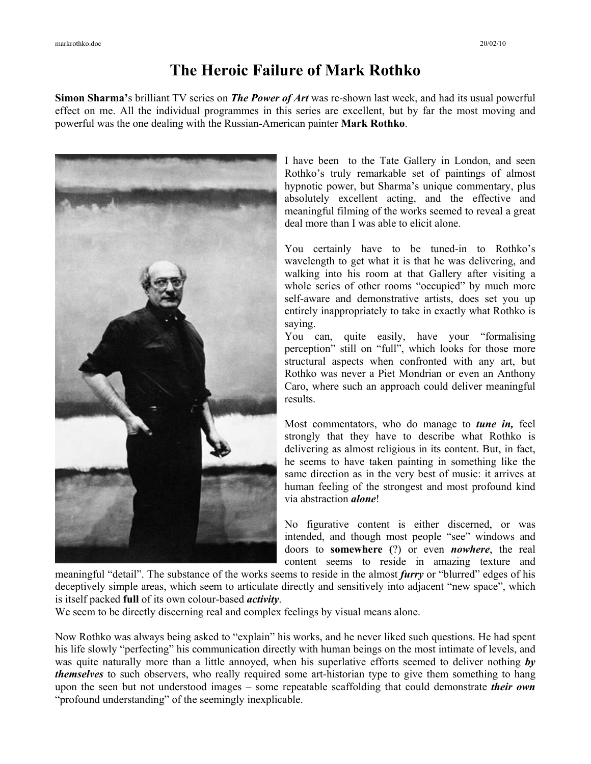## **The Heroic Failure of Mark Rothko**

**Simon Sharma'**s brilliant TV series on *The Power of Art* was re-shown last week, and had its usual powerful effect on me. All the individual programmes in this series are excellent, but by far the most moving and powerful was the one dealing with the Russian-American painter **Mark Rothko**.



I have been to the Tate Gallery in London, and seen Rothko's truly remarkable set of paintings of almost hypnotic power, but Sharma's unique commentary, plus absolutely excellent acting, and the effective and meaningful filming of the works seemed to reveal a great deal more than I was able to elicit alone.

You certainly have to be tuned-in to Rothko's wavelength to get what it is that he was delivering, and walking into his room at that Gallery after visiting a whole series of other rooms "occupied" by much more self-aware and demonstrative artists, does set you up entirely inappropriately to take in exactly what Rothko is saying.

You can, quite easily, have your "formalising perception" still on "full", which looks for those more structural aspects when confronted with any art, but Rothko was never a Piet Mondrian or even an Anthony Caro, where such an approach could deliver meaningful results.

Most commentators, who do manage to *tune in,* feel strongly that they have to describe what Rothko is delivering as almost religious in its content. But, in fact, he seems to have taken painting in something like the same direction as in the very best of music: it arrives at human feeling of the strongest and most profound kind via abstraction *alone*!

No figurative content is either discerned, or was intended, and though most people "see" windows and doors to **somewhere (**?) or even *nowhere*, the real content seems to reside in amazing texture and

meaningful "detail". The substance of the works seems to reside in the almost *furry* or "blurred" edges of his deceptively simple areas, which seem to articulate directly and sensitively into adjacent "new space", which is itself packed **full** of its own colour-based *activity*.

We seem to be directly discerning real and complex feelings by visual means alone.

Now Rothko was always being asked to "explain" his works, and he never liked such questions. He had spent his life slowly "perfecting" his communication directly with human beings on the most intimate of levels, and was quite naturally more than a little annoyed, when his superlative efforts seemed to deliver nothing *by themselves* to such observers, who really required some art-historian type to give them something to hang upon the seen but not understood images – some repeatable scaffolding that could demonstrate *their own* "profound understanding" of the seemingly inexplicable.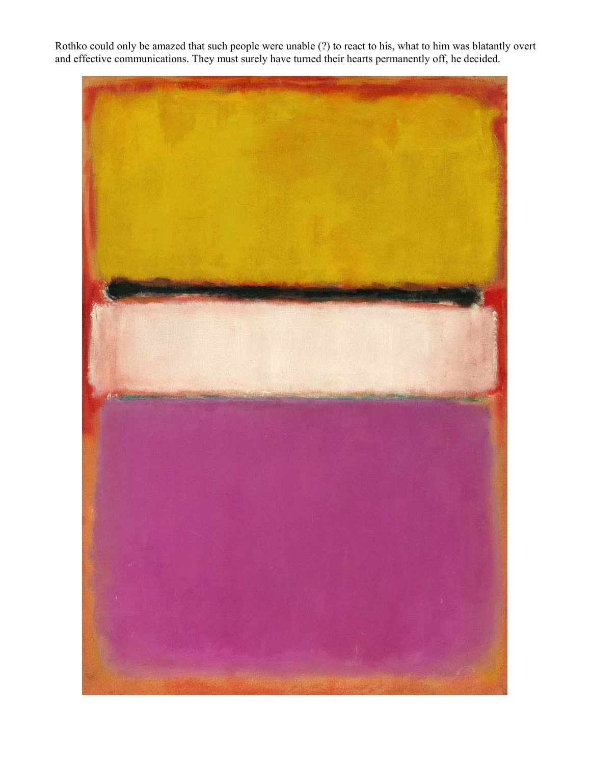Rothko could only be amazed that such people were unable (?) to react to his, what to him was blatantly overt and effective communications. They must surely have turned their hearts permanently off, he decided.